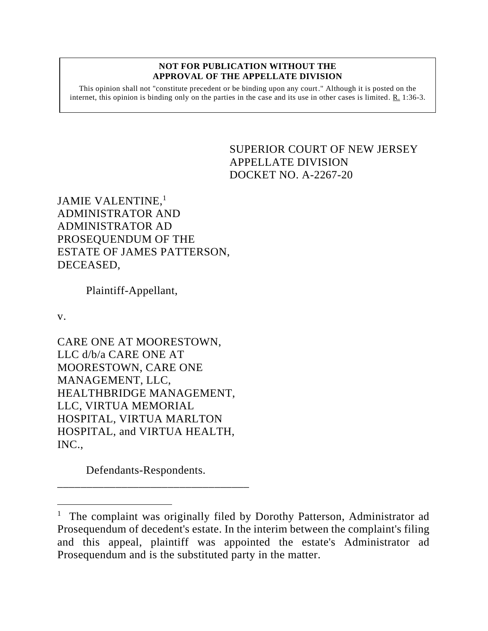#### **NOT FOR PUBLICATION WITHOUT THE APPROVAL OF THE APPELLATE DIVISION**

This opinion shall not "constitute precedent or be binding upon any court." Although it is posted on the internet, this opinion is binding only on the parties in the case and its use in other cases is limited. R. 1:36-3.

# <span id="page-0-0"></span>SUPERIOR COURT OF NEW JERSEY APPELLATE DIVISION DOCKET NO. A-2267-20

JAMIE VALENTINE,<sup>1</sup> ADMINISTRATOR AND ADMINISTRATOR AD PROSEQUENDUM OF THE ESTATE OF JAMES PATTERSON, DECEASED,

Plaintiff-Appellant,

v.

CARE ONE AT MOORESTOWN, LLC d/b/a CARE ONE AT MOORESTOWN, CARE ONE MANAGEMENT, LLC, HEALTHBRIDGE MANAGEMENT, LLC, VIRTUA MEMORIAL HOSPITAL, VIRTUA MARLTON HOSPITAL, and VIRTUA HEALTH, INC.,

Defendants-Respondents.

\_\_\_\_\_\_\_\_\_\_\_\_\_\_\_\_\_\_\_\_\_\_\_\_\_\_\_\_\_\_\_\_\_

The complaint was originally filed by Dorothy Patterson, Administrator ad Prosequendum of decedent's estate. In the interim between the complaint's filing and this appeal, plaintiff was appointed the estate's Administrator ad Prosequendum and is the substituted party in the matter.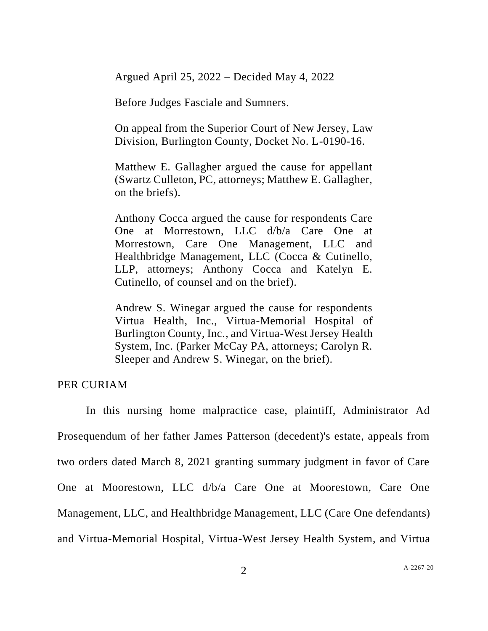Argued April 25, 2022 – Decided May 4, 2022

Before Judges Fasciale and Sumners.

On appeal from the Superior Court of New Jersey, Law Division, Burlington County, Docket No. L-0190-16.

Matthew E. Gallagher argued the cause for appellant (Swartz Culleton, PC, attorneys; Matthew E. Gallagher, on the briefs).

Anthony Cocca argued the cause for respondents Care One at Morrestown, LLC d/b/a Care One at Morrestown, Care One Management, LLC and Healthbridge Management, LLC (Cocca & Cutinello, LLP, attorneys; Anthony Cocca and Katelyn E. Cutinello, of counsel and on the brief).

Andrew S. Winegar argued the cause for respondents Virtua Health, Inc., Virtua-Memorial Hospital of Burlington County, Inc., and Virtua-West Jersey Health System, Inc. (Parker McCay PA, attorneys; Carolyn R. Sleeper and Andrew S. Winegar, on the brief).

PER CURIAM

In this nursing home malpractice case, plaintiff, Administrator Ad Prosequendum of her father James Patterson (decedent)'s estate, appeals from two orders dated March 8, 2021 granting summary judgment in favor of Care One at Moorestown, LLC d/b/a Care One at Moorestown, Care One Management, LLC, and Healthbridge Management, LLC (Care One defendants) and Virtua-Memorial Hospital, Virtua-West Jersey Health System, and Virtua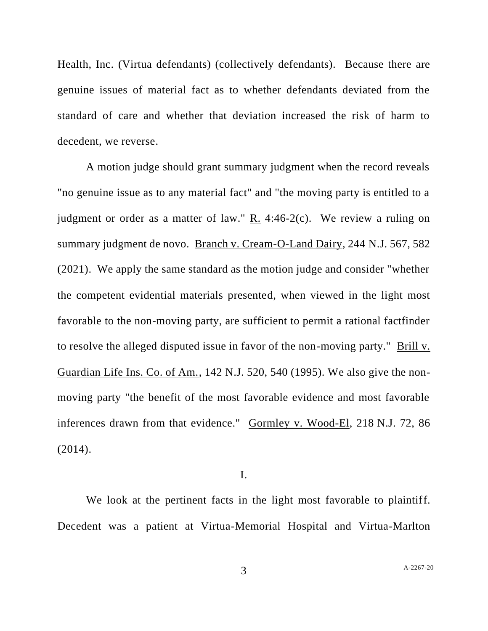Health, Inc. (Virtua defendants) (collectively defendants). Because there are genuine issues of material fact as to whether defendants deviated from the standard of care and whether that deviation increased the risk of harm to decedent, we reverse.

A motion judge should grant summary judgment when the record reveals "no genuine issue as to any material fact" and "the moving party is entitled to a judgment or order as a matter of law."  $R_1$ . 4:46-2(c). We review a ruling on summary judgment de novo. Branch v. Cream-O-Land Dairy, 244 N.J. 567, 582 (2021). We apply the same standard as the motion judge and consider "whether the competent evidential materials presented, when viewed in the light most favorable to the non-moving party, are sufficient to permit a rational factfinder to resolve the alleged disputed issue in favor of the non-moving party." Brill v. Guardian Life Ins. Co. of Am., 142 N.J. 520, 540 (1995). We also give the nonmoving party "the benefit of the most favorable evidence and most favorable inferences drawn from that evidence." Gormley v. Wood-El, 218 N.J. 72, 86 (2014).

## I.

We look at the pertinent facts in the light most favorable to plaintiff. Decedent was a patient at Virtua-Memorial Hospital and Virtua-Marlton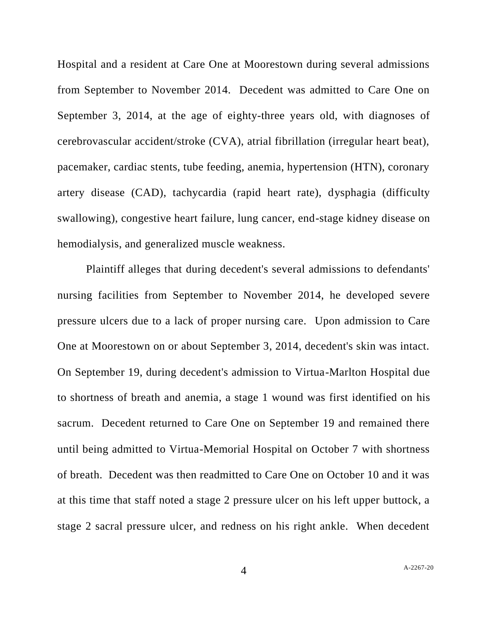Hospital and a resident at Care One at Moorestown during several admissions from September to November 2014. Decedent was admitted to Care One on September 3, 2014, at the age of eighty-three years old, with diagnoses of cerebrovascular accident/stroke (CVA), atrial fibrillation (irregular heart beat), pacemaker, cardiac stents, tube feeding, anemia, hypertension (HTN), coronary artery disease (CAD), tachycardia (rapid heart rate), dysphagia (difficulty swallowing), congestive heart failure, lung cancer, end-stage kidney disease on hemodialysis, and generalized muscle weakness.

Plaintiff alleges that during decedent's several admissions to defendants' nursing facilities from September to November 2014, he developed severe pressure ulcers due to a lack of proper nursing care. Upon admission to Care One at Moorestown on or about September 3, 2014, decedent's skin was intact. On September 19, during decedent's admission to Virtua-Marlton Hospital due to shortness of breath and anemia, a stage 1 wound was first identified on his sacrum. Decedent returned to Care One on September 19 and remained there until being admitted to Virtua-Memorial Hospital on October 7 with shortness of breath. Decedent was then readmitted to Care One on October 10 and it was at this time that staff noted a stage 2 pressure ulcer on his left upper buttock, a stage 2 sacral pressure ulcer, and redness on his right ankle. When decedent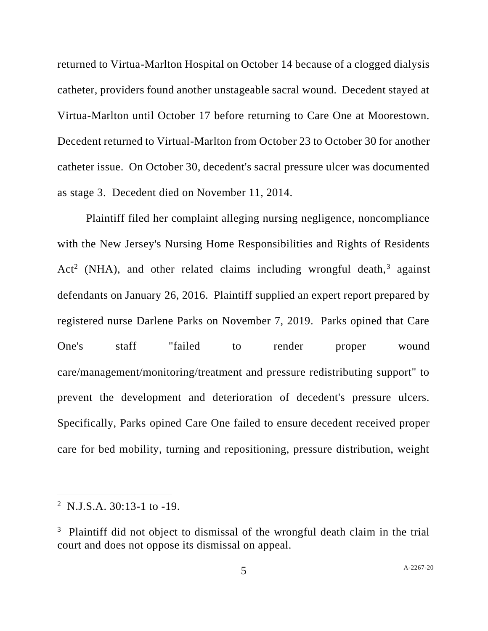returned to Virtua-Marlton Hospital on October 14 because of a clogged dialysis catheter, providers found another unstageable sacral wound. Decedent stayed at Virtua-Marlton until October 17 before returning to Care One at Moorestown. Decedent returned to Virtual-Marlton from October 23 to October 30 for another catheter issue. On October 30, decedent's sacral pressure ulcer was documented as stage 3. Decedent died on November 11, 2014.

Plaintiff filed her complaint alleging nursing negligence, noncompliance with the New Jersey's Nursing Home Responsibilities and Rights of Residents Act<sup>2</sup> (NHA), and other related claims including wrongful death,<sup>3</sup> against defendants on January 26, 2016. Plaintiff supplied an expert report prepared by registered nurse Darlene Parks on November 7, 2019. Parks opined that Care One's staff "failed to render proper wound care/management/monitoring/treatment and pressure redistributing support" to prevent the development and deterioration of decedent's pressure ulcers. Specifically, Parks opined Care One failed to ensure decedent received proper care for bed mobility, turning and repositioning, pressure distribution, weight

<sup>&</sup>lt;sup>2</sup> N.J.S.A. 30:13-1 to -19.

<sup>&</sup>lt;sup>3</sup> Plaintiff did not object to dismissal of the wrongful death claim in the trial court and does not oppose its dismissal on appeal.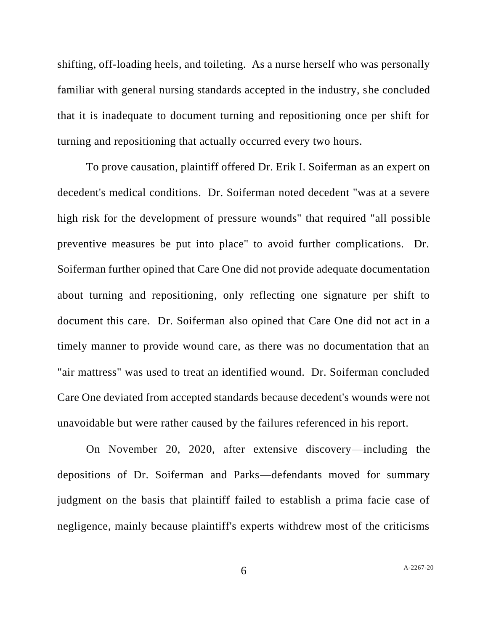shifting, off-loading heels, and toileting. As a nurse herself who was personally familiar with general nursing standards accepted in the industry, she concluded that it is inadequate to document turning and repositioning once per shift for turning and repositioning that actually occurred every two hours.

To prove causation, plaintiff offered Dr. Erik I. Soiferman as an expert on decedent's medical conditions. Dr. Soiferman noted decedent "was at a severe high risk for the development of pressure wounds" that required "all possible preventive measures be put into place" to avoid further complications. Dr. Soiferman further opined that Care One did not provide adequate documentation about turning and repositioning, only reflecting one signature per shift to document this care. Dr. Soiferman also opined that Care One did not act in a timely manner to provide wound care, as there was no documentation that an "air mattress" was used to treat an identified wound. Dr. Soiferman concluded Care One deviated from accepted standards because decedent's wounds were not unavoidable but were rather caused by the failures referenced in his report.

On November 20, 2020, after extensive discovery—including the depositions of Dr. Soiferman and Parks—defendants moved for summary judgment on the basis that plaintiff failed to establish a prima facie case of negligence, mainly because plaintiff's experts withdrew most of the criticisms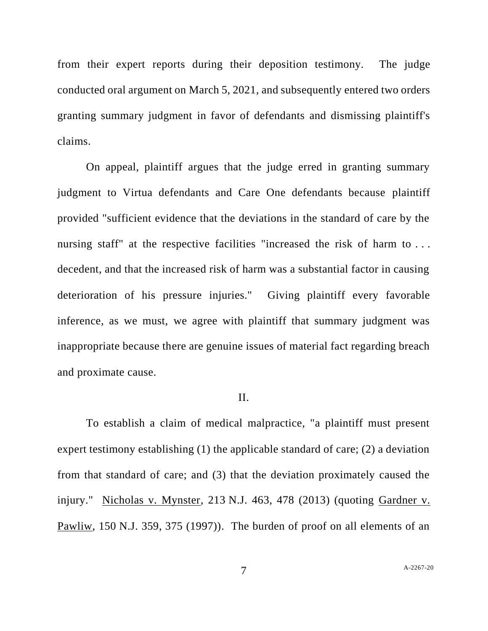from their expert reports during their deposition testimony. The judge conducted oral argument on March 5, 2021, and subsequently entered two orders granting summary judgment in favor of defendants and dismissing plaintiff's claims.

On appeal, plaintiff argues that the judge erred in granting summary judgment to Virtua defendants and Care One defendants because plaintiff provided "sufficient evidence that the deviations in the standard of care by the nursing staff" at the respective facilities "increased the risk of harm to ... decedent, and that the increased risk of harm was a substantial factor in causing deterioration of his pressure injuries." Giving plaintiff every favorable inference, as we must, we agree with plaintiff that summary judgment was inappropriate because there are genuine issues of material fact regarding breach and proximate cause.

#### II.

To establish a claim of medical malpractice, "a plaintiff must present expert testimony establishing (1) the applicable standard of care; (2) a deviation from that standard of care; and (3) that the deviation proximately caused the injury." Nicholas v. Mynster, 213 N.J. 463, 478 (2013) (quoting Gardner v. Pawliw, 150 N.J. 359, 375 (1997)). The burden of proof on all elements of an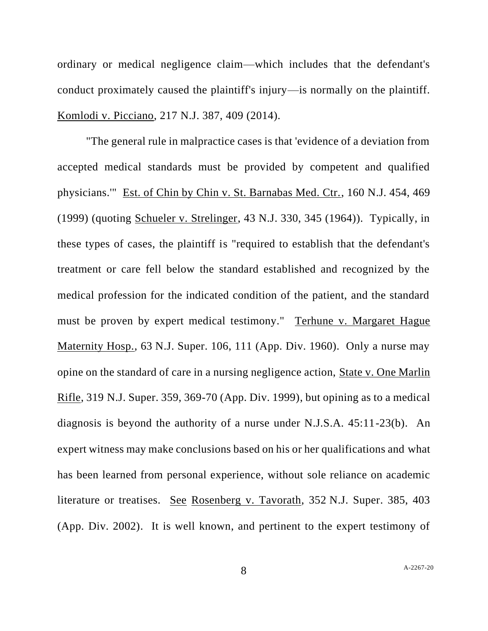ordinary or medical negligence claim—which includes that the defendant's conduct proximately caused the plaintiff's injury—is normally on the plaintiff. Komlodi v. Picciano, 217 N.J. 387, 409 (2014).

"The general rule in malpractice cases is that 'evidence of a deviation from accepted medical standards must be provided by competent and qualified physicians.'" Est. of Chin by Chin v. St. Barnabas Med. Ctr., 160 N.J. 454, 469 (1999) (quoting Schueler v. Strelinger, 43 N.J. 330, 345 (1964)). Typically, in these types of cases, the plaintiff is "required to establish that the defendant's treatment or care fell below the standard established and recognized by the medical profession for the indicated condition of the patient, and the standard must be proven by expert medical testimony." Terhune v. Margaret Hague Maternity Hosp., 63 N.J. Super. 106, 111 (App. Div. 1960). Only a nurse may opine on the standard of care in a nursing negligence action, State v. One Marlin Rifle, 319 N.J. Super. 359, 369-70 (App. Div. 1999), but opining as to a medical diagnosis is beyond the authority of a nurse under N.J.S.A. 45:11-23(b). An expert witness may make conclusions based on his or her qualifications and what has been learned from personal experience, without sole reliance on academic literature or treatises. See Rosenberg v. Tavorath, 352 N.J. Super. 385, 403 (App. Div. 2002). It is well known, and pertinent to the expert testimony of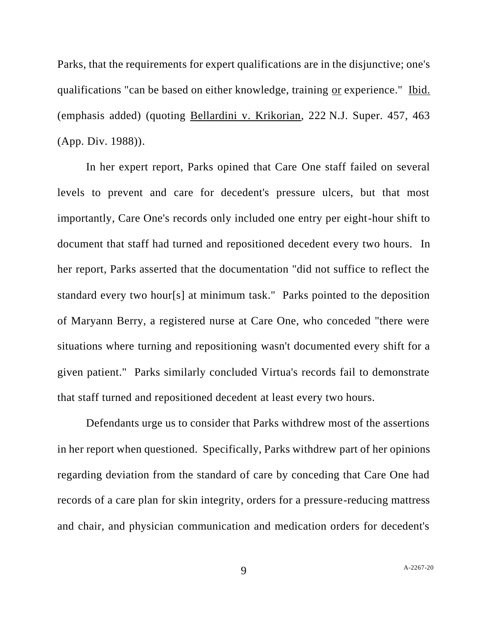Parks, that the requirements for expert qualifications are in the disjunctive; one's qualifications "can be based on either knowledge, training or experience." Ibid. (emphasis added) (quoting Bellardini v. Krikorian, 222 N.J. Super. 457, 463 (App. Div. 1988)).

In her expert report, Parks opined that Care One staff failed on several levels to prevent and care for decedent's pressure ulcers, but that most importantly, Care One's records only included one entry per eight-hour shift to document that staff had turned and repositioned decedent every two hours. In her report, Parks asserted that the documentation "did not suffice to reflect the standard every two hour[s] at minimum task." Parks pointed to the deposition of Maryann Berry, a registered nurse at Care One, who conceded "there were situations where turning and repositioning wasn't documented every shift for a given patient." Parks similarly concluded Virtua's records fail to demonstrate that staff turned and repositioned decedent at least every two hours.

Defendants urge us to consider that Parks withdrew most of the assertions in her report when questioned. Specifically, Parks withdrew part of her opinions regarding deviation from the standard of care by conceding that Care One had records of a care plan for skin integrity, orders for a pressure-reducing mattress and chair, and physician communication and medication orders for decedent's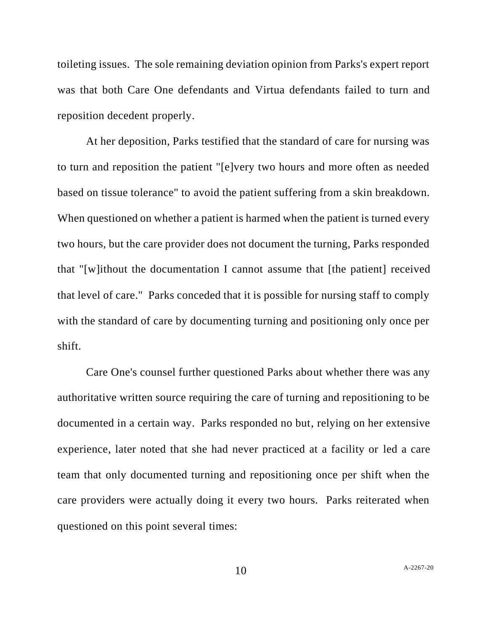toileting issues. The sole remaining deviation opinion from Parks's expert report was that both Care One defendants and Virtua defendants failed to turn and reposition decedent properly.

At her deposition, Parks testified that the standard of care for nursing was to turn and reposition the patient "[e]very two hours and more often as needed based on tissue tolerance" to avoid the patient suffering from a skin breakdown. When questioned on whether a patient is harmed when the patient is turned every two hours, but the care provider does not document the turning, Parks responded that "[w]ithout the documentation I cannot assume that [the patient] received that level of care." Parks conceded that it is possible for nursing staff to comply with the standard of care by documenting turning and positioning only once per shift.

Care One's counsel further questioned Parks about whether there was any authoritative written source requiring the care of turning and repositioning to be documented in a certain way. Parks responded no but, relying on her extensive experience, later noted that she had never practiced at a facility or led a care team that only documented turning and repositioning once per shift when the care providers were actually doing it every two hours. Parks reiterated when questioned on this point several times: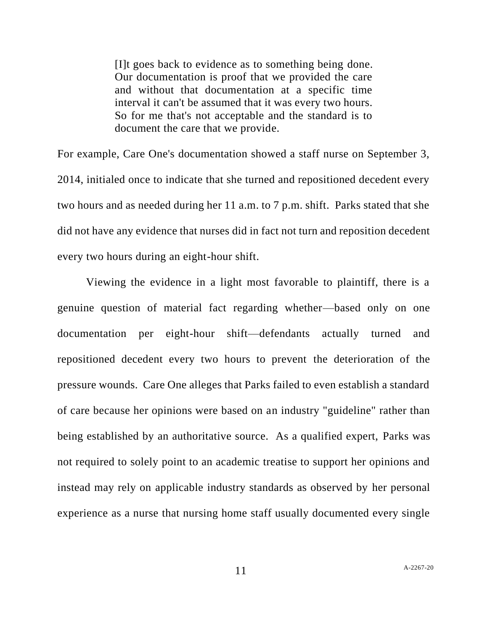[I]t goes back to evidence as to something being done. Our documentation is proof that we provided the care and without that documentation at a specific time interval it can't be assumed that it was every two hours. So for me that's not acceptable and the standard is to document the care that we provide.

For example, Care One's documentation showed a staff nurse on September 3, 2014, initialed once to indicate that she turned and repositioned decedent every two hours and as needed during her 11 a.m. to 7 p.m. shift. Parks stated that she did not have any evidence that nurses did in fact not turn and reposition decedent every two hours during an eight-hour shift.

Viewing the evidence in a light most favorable to plaintiff, there is a genuine question of material fact regarding whether—based only on one documentation per eight-hour shift—defendants actually turned and repositioned decedent every two hours to prevent the deterioration of the pressure wounds. Care One alleges that Parks failed to even establish a standard of care because her opinions were based on an industry "guideline" rather than being established by an authoritative source. As a qualified expert, Parks was not required to solely point to an academic treatise to support her opinions and instead may rely on applicable industry standards as observed by her personal experience as a nurse that nursing home staff usually documented every single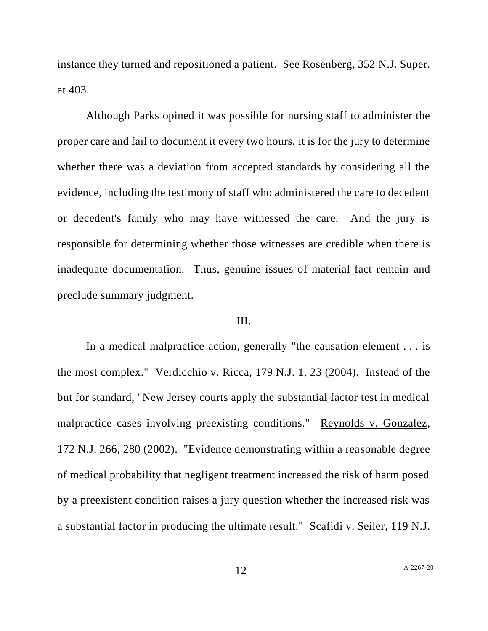instance they turned and repositioned a patient. See Rosenberg, 352 N.J. Super. at 403.

Although Parks opined it was possible for nursing staff to administer the proper care and fail to document it every two hours, it is for the jury to determine whether there was a deviation from accepted standards by considering all the evidence, including the testimony of staff who administered the care to decedent or decedent's family who may have witnessed the care. And the jury is responsible for determining whether those witnesses are credible when there is inadequate documentation. Thus, genuine issues of material fact remain and preclude summary judgment.

## III.

In a medical malpractice action, generally "the causation element . . . is the most complex." Verdicchio v. Ricca, 179 N.J. 1, 23 (2004). Instead of the but for standard, "New Jersey courts apply the substantial factor test in medical malpractice cases involving preexisting conditions." Reynolds v. Gonzalez, 172 N.J. 266, 280 (2002). "Evidence demonstrating within a reasonable degree of medical probability that negligent treatment increased the risk of harm posed by a preexistent condition raises a jury question whether the increased risk was a substantial factor in producing the ultimate result." Scafidi v. Seiler, 119 N.J.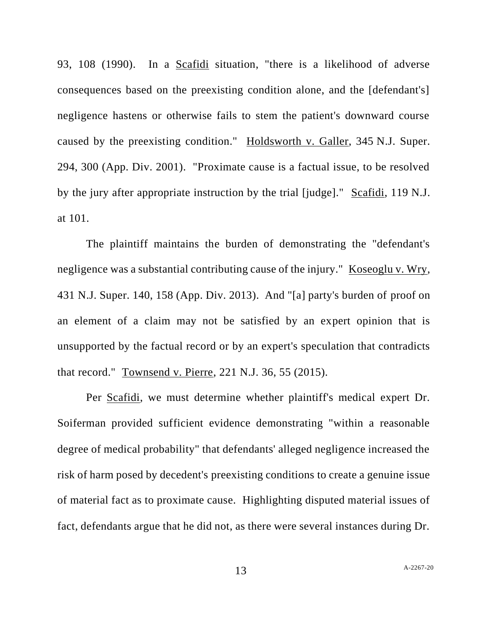93, 108 (1990). In a Scafidi situation, "there is a likelihood of adverse consequences based on the preexisting condition alone, and the [defendant's] negligence hastens or otherwise fails to stem the patient's downward course caused by the preexisting condition." Holdsworth v. Galler, 345 N.J. Super. 294, 300 (App. Div. 2001). "Proximate cause is a factual issue, to be resolved by the jury after appropriate instruction by the trial [judge]." Scafidi, 119 N.J. at 101.

The plaintiff maintains the burden of demonstrating the "defendant's negligence was a substantial contributing cause of the injury." Koseoglu v. Wry, 431 N.J. Super. 140, 158 (App. Div. 2013). And "[a] party's burden of proof on an element of a claim may not be satisfied by an expert opinion that is unsupported by the factual record or by an expert's speculation that contradicts that record." Townsend v. Pierre, 221 N.J. 36, 55 (2015).

Per Scafidi, we must determine whether plaintiff's medical expert Dr. Soiferman provided sufficient evidence demonstrating "within a reasonable degree of medical probability" that defendants' alleged negligence increased the risk of harm posed by decedent's preexisting conditions to create a genuine issue of material fact as to proximate cause. Highlighting disputed material issues of fact, defendants argue that he did not, as there were several instances during Dr.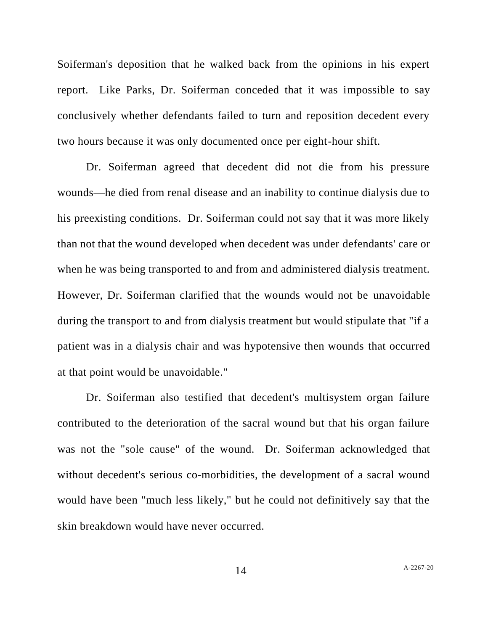Soiferman's deposition that he walked back from the opinions in his expert report. Like Parks, Dr. Soiferman conceded that it was impossible to say conclusively whether defendants failed to turn and reposition decedent every two hours because it was only documented once per eight-hour shift.

Dr. Soiferman agreed that decedent did not die from his pressure wounds—he died from renal disease and an inability to continue dialysis due to his preexisting conditions. Dr. Soiferman could not say that it was more likely than not that the wound developed when decedent was under defendants' care or when he was being transported to and from and administered dialysis treatment. However, Dr. Soiferman clarified that the wounds would not be unavoidable during the transport to and from dialysis treatment but would stipulate that "if a patient was in a dialysis chair and was hypotensive then wounds that occurred at that point would be unavoidable."

Dr. Soiferman also testified that decedent's multisystem organ failure contributed to the deterioration of the sacral wound but that his organ failure was not the "sole cause" of the wound. Dr. Soiferman acknowledged that without decedent's serious co-morbidities, the development of a sacral wound would have been "much less likely," but he could not definitively say that the skin breakdown would have never occurred.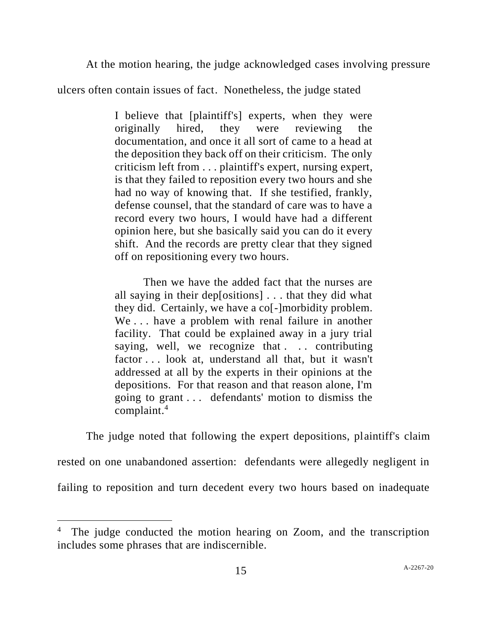At the motion hearing, the judge acknowledged cases involving pressure

ulcers often contain issues of fact. Nonetheless, the judge stated

I believe that [plaintiff's] experts, when they were originally hired, they were reviewing the documentation, and once it all sort of came to a head at the deposition they back off on their criticism. The only criticism left from . . . plaintiff's expert, nursing expert, is that they failed to reposition every two hours and she had no way of knowing that. If she testified, frankly, defense counsel, that the standard of care was to have a record every two hours, I would have had a different opinion here, but she basically said you can do it every shift. And the records are pretty clear that they signed off on repositioning every two hours.

Then we have the added fact that the nurses are all saying in their dep[ositions] . . . that they did what they did. Certainly, we have a co[-]morbidity problem. We . . . have a problem with renal failure in another facility. That could be explained away in a jury trial saying, well, we recognize that ... contributing factor . . . look at, understand all that, but it wasn't addressed at all by the experts in their opinions at the depositions. For that reason and that reason alone, I'm going to grant . . . defendants' motion to dismiss the complaint.<sup>4</sup>

The judge noted that following the expert depositions, plaintiff's claim rested on one unabandoned assertion: defendants were allegedly negligent in failing to reposition and turn decedent every two hours based on inadequate

<sup>&</sup>lt;sup>4</sup> The judge conducted the motion hearing on Zoom, and the transcription includes some phrases that are indiscernible.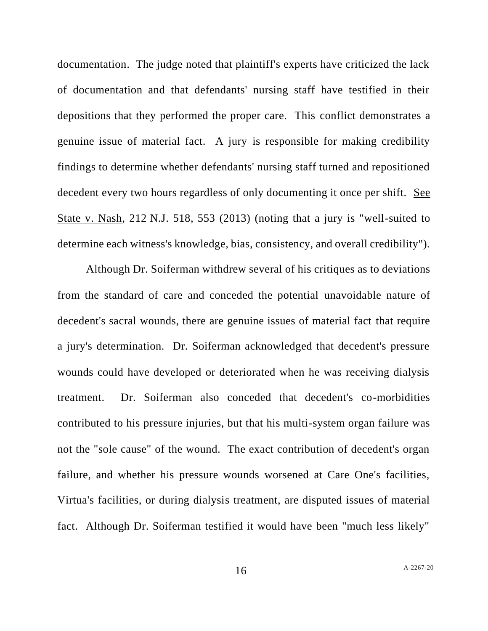documentation. The judge noted that plaintiff's experts have criticized the lack of documentation and that defendants' nursing staff have testified in their depositions that they performed the proper care. This conflict demonstrates a genuine issue of material fact. A jury is responsible for making credibility findings to determine whether defendants' nursing staff turned and repositioned decedent every two hours regardless of only documenting it once per shift. See State v. Nash, 212 N.J. 518, 553 (2013) (noting that a jury is "well-suited to determine each witness's knowledge, bias, consistency, and overall credibility").

Although Dr. Soiferman withdrew several of his critiques as to deviations from the standard of care and conceded the potential unavoidable nature of decedent's sacral wounds, there are genuine issues of material fact that require a jury's determination. Dr. Soiferman acknowledged that decedent's pressure wounds could have developed or deteriorated when he was receiving dialysis treatment. Dr. Soiferman also conceded that decedent's co-morbidities contributed to his pressure injuries, but that his multi-system organ failure was not the "sole cause" of the wound. The exact contribution of decedent's organ failure, and whether his pressure wounds worsened at Care One's facilities, Virtua's facilities, or during dialysis treatment, are disputed issues of material fact. Although Dr. Soiferman testified it would have been "much less likely"